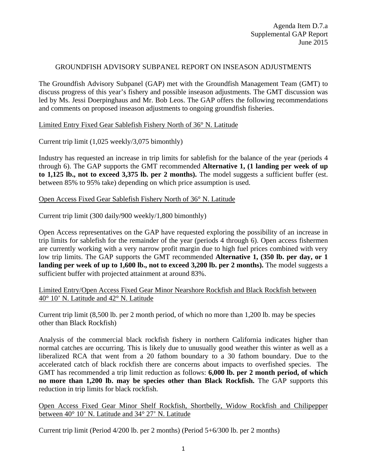### GROUNDFISH ADVISORY SUBPANEL REPORT ON INSEASON ADJUSTMENTS

The Groundfish Advisory Subpanel (GAP) met with the Groundfish Management Team (GMT) to discuss progress of this year's fishery and possible inseason adjustments. The GMT discussion was led by Ms. Jessi Doerpinghaus and Mr. Bob Leos. The GAP offers the following recommendations and comments on proposed inseason adjustments to ongoing groundfish fisheries.

### Limited Entry Fixed Gear Sablefish Fishery North of 36° N. Latitude

Current trip limit (1,025 weekly/3,075 bimonthly)

Industry has requested an increase in trip limits for sablefish for the balance of the year (periods 4 through 6). The GAP supports the GMT recommended **Alternative 1, (1 landing per week of up to 1,125 lb., not to exceed 3,375 lb. per 2 months).** The model suggests a sufficient buffer (est. between 85% to 95% take) depending on which price assumption is used.

### Open Access Fixed Gear Sablefish Fishery North of 36° N. Latitude

Current trip limit (300 daily/900 weekly/1,800 bimonthly)

Open Access representatives on the GAP have requested exploring the possibility of an increase in trip limits for sablefish for the remainder of the year (periods 4 through 6). Open access fishermen are currently working with a very narrow profit margin due to high fuel prices combined with very low trip limits. The GAP supports the GMT recommended **Alternative 1, (350 lb. per day, or 1 landing per week of up to 1,600 lb., not to exceed 3,200 lb. per 2 months).** The model suggests a sufficient buffer with projected attainment at around 83%.

Limited Entry/Open Access Fixed Gear Minor Nearshore Rockfish and Black Rockfish between 40° 10' N. Latitude and 42° N. Latitude

Current trip limit (8,500 lb. per 2 month period, of which no more than 1,200 lb. may be species other than Black Rockfish)

Analysis of the commercial black rockfish fishery in northern California indicates higher than normal catches are occurring. This is likely due to unusually good weather this winter as well as a liberalized RCA that went from a 20 fathom boundary to a 30 fathom boundary. Due to the accelerated catch of black rockfish there are concerns about impacts to overfished species. The GMT has recommended a trip limit reduction as follows: **6,000 lb. per 2 month period, of which no more than 1,200 lb. may be species other than Black Rockfish.** The GAP supports this reduction in trip limits for black rockfish.

Open Access Fixed Gear Minor Shelf Rockfish, Shortbelly, Widow Rockfish and Chilipepper between 40° 10' N. Latitude and 34° 27' N. Latitude

Current trip limit (Period 4/200 lb. per 2 months) (Period 5+6/300 lb. per 2 months)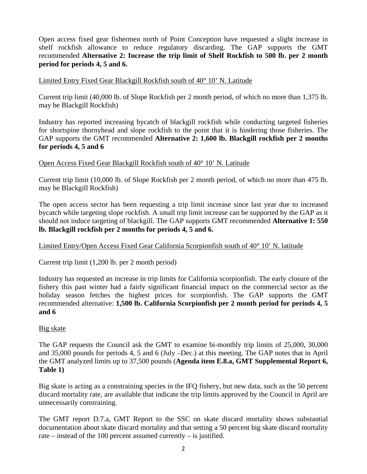Open access fixed gear fishermen north of Point Conception have requested a slight increase in shelf rockfish allowance to reduce regulatory discarding. The GAP supports the GMT recommended **Alternative 2: Increase the trip limit of Shelf Rockfish to 500 lb. per 2 month period for periods 4, 5 and 6.** 

### Limited Entry Fixed Gear Blackgill Rockfish south of 40° 10' N. Latitude

Current trip limit (40,000 lb. of Slope Rockfish per 2 month period, of which no more than 1,375 lb. may be Blackgill Rockfish)

Industry has reported increasing bycatch of blackgill rockfish while conducting targeted fisheries for shortspine thornyhead and slope rockfish to the point that it is hindering those fisheries. The GAP supports the GMT recommended **Alternative 2: 1,600 lb. Blackgill rockfish per 2 months for periods 4, 5 and 6**

### Open Access Fixed Gear Blackgill Rockfish south of 40° 10' N. Latitude

Current trip limit (10,000 lb. of Slope Rockfish per 2 month period, of which no more than 475 lb. may be Blackgill Rockfish)

The open access sector has been requesting a trip limit increase since last year due to increased bycatch while targeting slope rockfish. A small trip limit increase can be supported by the GAP as it should not induce targeting of blackgill. The GAP supports GMT recommended **Alternative 1: 550 lb. Blackgill rockfish per 2 months for periods 4, 5 and 6.**

# Limited Entry/Open Access Fixed Gear California Scorpionfish south of 40° 10' N. latitude

Current trip limit (1,200 lb. per 2 month period)

Industry has requested an increase in trip limits for California scorpionfish. The early closure of the fishery this past winter had a fairly significant financial impact on the commercial sector as the holiday season fetches the highest prices for scorpionfish. The GAP supports the GMT recommended alternative: **1,500 lb. California Scorpionfish per 2 month period for periods 4, 5 and 6**

### Big skate

The GAP requests the Council ask the GMT to examine bi-monthly trip limits of 25,000, 30,000 and 35,000 pounds for periods 4, 5 and 6 (July –Dec.) at this meeting. The GAP notes that in April the GMT analyzed limits up to 37,500 pounds (**Agenda item E.8.a, GMT Supplemental Report 6, Table 1)**

Big skate is acting as a constraining species in the IFQ fishery, but new data, such as the 50 percent discard mortality rate, are available that indicate the trip limits approved by the Council in April are unnecessarily constraining.

The GMT report D.7.a, GMT Report to the SSC on skate discard mortality shows substantial documentation about skate discard mortality and that setting a 50 percent big skate discard mortality rate – instead of the 100 percent assumed currently – is justified.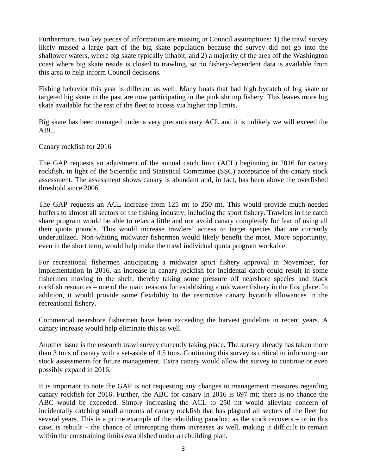Furthermore, two key pieces of information are missing in Council assumptions: 1) the trawl survey likely missed a large part of the big skate population because the survey did not go into the shallower waters, where big skate typically inhabit; and 2) a majority of the area off the Washington coast where big skate reside is closed to trawling, so no fishery-dependent data is available from this area to help inform Council decisions.

Fishing behavior this year is different as well: Many boats that had high bycatch of big skate or targeted big skate in the past are now participating in the pink shrimp fishery. This leaves more big skate available for the rest of the fleet to access via higher trip limits.

Big skate has been managed under a very precautionary ACL and it is unlikely we will exceed the ABC.

### Canary rockfish for 2016

The GAP requests an adjustment of the annual catch limit (ACL) beginning in 2016 for canary rockfish, in light of the Scientific and Statistical Committee (SSC) acceptance of the canary stock assessment. The assessment shows canary is abundant and, in fact, has been above the overfished threshold since 2006.

The GAP requests an ACL increase from 125 mt to 250 mt. This would provide much-needed buffers to almost all sectors of the fishing industry, including the sport fishery. Trawlers in the catch share program would be able to relax a little and not avoid canary completely for fear of using all their quota pounds. This would increase trawlers' access to target species that are currently underutilized. Non-whiting midwater fishermen would likely benefit the most. More opportunity, even in the short term, would help make the trawl individual quota program workable.

For recreational fishermen anticipating a midwater sport fishery approval in November, for implementation in 2016, an increase in canary rockfish for incidental catch could result in some fishermen moving to the shelf, thereby taking some pressure off nearshore species and black rockfish resources – one of the main reasons for establishing a midwater fishery in the first place. In addition, it would provide some flexibility to the restrictive canary bycatch allowances in the recreational fishery.

Commercial nearshore fishermen have been exceeding the harvest guideline in recent years. A canary increase would help eliminate this as well.

Another issue is the research trawl survey currently taking place. The survey already has taken more than 3 tons of canary with a set-aside of 4.5 tons. Continuing this survey is critical to informing our stock assessments for future management. Extra canary would allow the survey to continue or even possibly expand in 2016.

It is important to note the GAP is not requesting any changes to management measures regarding canary rockfish for 2016. Further, the ABC for canary in 2016 is 697 mt; there is no chance the ABC would be exceeded. Simply increasing the ACL to 250 mt would alleviate concern of incidentally catching small amounts of canary rockfish that has plagued all sectors of the fleet for several years. This is a prime example of the rebuilding paradox; as the stock recovers – or in this case, is rebuilt – the chance of intercepting them increases as well, making it difficult to remain within the constraining limits established under a rebuilding plan.